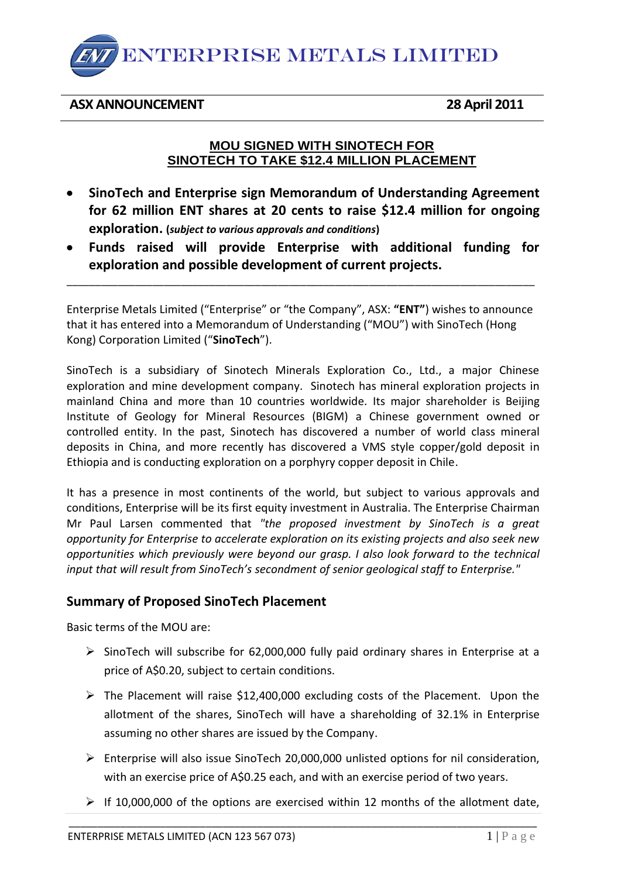

#### **ASX ANNOUNCEMENT 28 April 2011**

#### **MOU SIGNED WITH SINOTECH FOR SINOTECH TO TAKE \$12.4 MILLION PLACEMENT**

- **SinoTech and Enterprise sign Memorandum of Understanding Agreement for 62 million ENT shares at 20 cents to raise \$12.4 million for ongoing exploration. (***subject to various approvals and conditions***)**
- **Funds raised will provide Enterprise with additional funding for exploration and possible development of current projects.**

Enterprise Metals Limited ("Enterprise" or "the Company", ASX: **"ENT"**) wishes to announce that it has entered into a Memorandum of Understanding ("MOU") with SinoTech (Hong Kong) Corporation Limited ("**SinoTech**").

\_\_\_\_\_\_\_\_\_\_\_\_\_\_\_\_\_\_\_\_\_\_\_\_\_\_\_\_\_\_\_\_\_\_\_\_\_\_\_\_\_\_\_\_\_\_\_\_\_\_\_\_\_\_\_\_\_\_\_\_\_\_\_\_\_\_\_\_\_\_\_\_\_\_\_\_\_\_\_\_\_\_

SinoTech is a subsidiary of Sinotech Minerals Exploration Co., Ltd., a major Chinese exploration and mine development company. Sinotech has mineral exploration projects in mainland China and more than 10 countries worldwide. Its major shareholder is Beijing Institute of Geology for Mineral Resources (BIGM) a Chinese government owned or controlled entity. In the past, Sinotech has discovered a number of world class mineral deposits in China, and more recently has discovered a VMS style copper/gold deposit in Ethiopia and is conducting exploration on a porphyry copper deposit in Chile.

It has a presence in most continents of the world, but subject to various approvals and conditions, Enterprise will be its first equity investment in Australia. The Enterprise Chairman Mr Paul Larsen commented that *"the proposed investment by SinoTech is a great opportunity for Enterprise to accelerate exploration on its existing projects and also seek new opportunities which previously were beyond our grasp. I also look forward to the technical input that will result from SinoTech's secondment of senior geological staff to Enterprise."*

# **Summary of Proposed SinoTech Placement**

Basic terms of the MOU are:

- $\triangleright$  SinoTech will subscribe for 62,000,000 fully paid ordinary shares in Enterprise at a price of A\$0.20, subject to certain conditions.
- $\triangleright$  The Placement will raise \$12,400,000 excluding costs of the Placement. Upon the allotment of the shares, SinoTech will have a shareholding of 32.1% in Enterprise assuming no other shares are issued by the Company.
- Enterprise will also issue SinoTech 20,000,000 unlisted options for nil consideration, with an exercise price of A\$0.25 each, and with an exercise period of two years.
- $\triangleright$  If 10,000,000 of the options are exercised within 12 months of the allotment date,

\_\_\_\_\_\_\_\_\_\_\_\_\_\_\_\_\_\_\_\_\_\_\_\_\_\_\_\_\_\_\_\_\_\_\_\_\_\_\_\_\_\_\_\_\_\_\_\_\_\_\_\_\_\_\_\_\_\_\_\_\_\_\_\_\_\_\_\_\_\_\_\_\_\_\_\_\_\_\_\_\_\_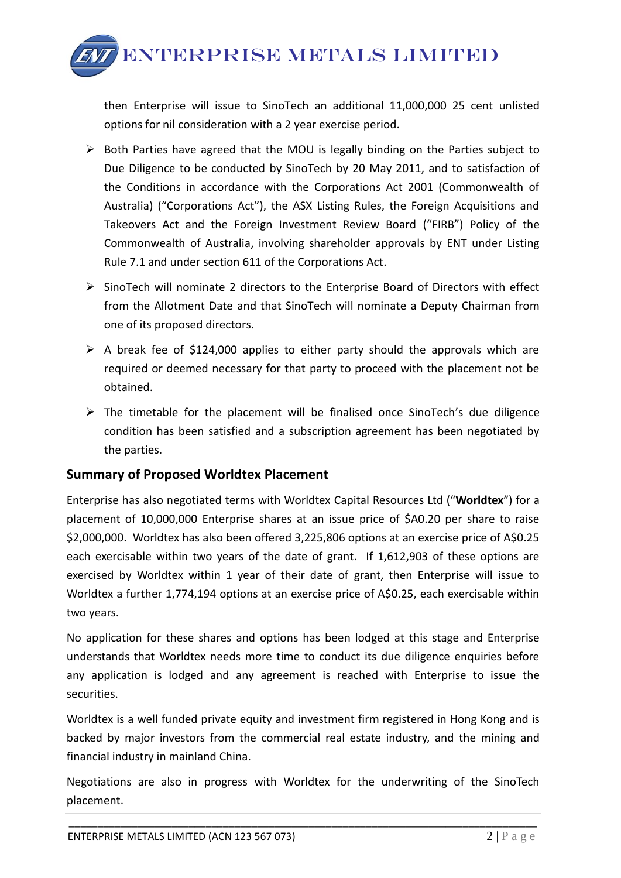ENTERPRISE METALS LIMITED

then Enterprise will issue to SinoTech an additional 11,000,000 25 cent unlisted options for nil consideration with a 2 year exercise period.

- $\triangleright$  Both Parties have agreed that the MOU is legally binding on the Parties subject to Due Diligence to be conducted by SinoTech by 20 May 2011, and to satisfaction of the Conditions in accordance with the Corporations Act 2001 (Commonwealth of Australia) ("Corporations Act"), the ASX Listing Rules, the Foreign Acquisitions and Takeovers Act and the Foreign Investment Review Board ("FIRB") Policy of the Commonwealth of Australia, involving shareholder approvals by ENT under Listing Rule 7.1 and under section 611 of the Corporations Act.
- $\triangleright$  SinoTech will nominate 2 directors to the Enterprise Board of Directors with effect from the Allotment Date and that SinoTech will nominate a Deputy Chairman from one of its proposed directors.
- $\triangleright$  A break fee of \$124,000 applies to either party should the approvals which are required or deemed necessary for that party to proceed with the placement not be obtained.
- $\triangleright$  The timetable for the placement will be finalised once SinoTech's due diligence condition has been satisfied and a subscription agreement has been negotiated by the parties.

# **Summary of Proposed Worldtex Placement**

Enterprise has also negotiated terms with Worldtex Capital Resources Ltd ("**Worldtex**") for a placement of 10,000,000 Enterprise shares at an issue price of \$A0.20 per share to raise \$2,000,000. Worldtex has also been offered 3,225,806 options at an exercise price of A\$0.25 each exercisable within two years of the date of grant. If 1,612,903 of these options are exercised by Worldtex within 1 year of their date of grant, then Enterprise will issue to Worldtex a further 1,774,194 options at an exercise price of A\$0.25, each exercisable within two years.

No application for these shares and options has been lodged at this stage and Enterprise understands that Worldtex needs more time to conduct its due diligence enquiries before any application is lodged and any agreement is reached with Enterprise to issue the securities.

Worldtex is a well funded private equity and investment firm registered in Hong Kong and is backed by major investors from the commercial real estate industry, and the mining and financial industry in mainland China.

Negotiations are also in progress with Worldtex for the underwriting of the SinoTech placement.

\_\_\_\_\_\_\_\_\_\_\_\_\_\_\_\_\_\_\_\_\_\_\_\_\_\_\_\_\_\_\_\_\_\_\_\_\_\_\_\_\_\_\_\_\_\_\_\_\_\_\_\_\_\_\_\_\_\_\_\_\_\_\_\_\_\_\_\_\_\_\_\_\_\_\_\_\_\_\_\_\_\_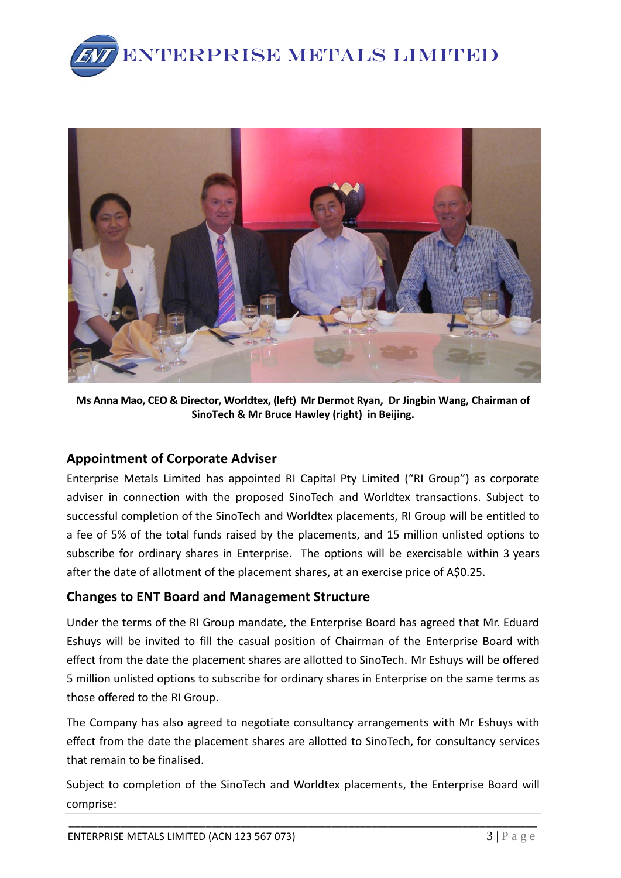



**Ms Anna Mao, CEO & Director, Worldtex, (left) Mr Dermot Ryan, Dr Jingbin Wang, Chairman of SinoTech & Mr Bruce Hawley (right) in Beijing.**

# **Appointment of Corporate Adviser**

Enterprise Metals Limited has appointed RI Capital Pty Limited ("RI Group") as corporate adviser in connection with the proposed SinoTech and Worldtex transactions. Subject to successful completion of the SinoTech and Worldtex placements, RI Group will be entitled to a fee of 5% of the total funds raised by the placements, and 15 million unlisted options to subscribe for ordinary shares in Enterprise. The options will be exercisable within 3 years after the date of allotment of the placement shares, at an exercise price of A\$0.25.

# **Changes to ENT Board and Management Structure**

Under the terms of the RI Group mandate, the Enterprise Board has agreed that Mr. Eduard Eshuys will be invited to fill the casual position of Chairman of the Enterprise Board with effect from the date the placement shares are allotted to SinoTech. Mr Eshuys will be offered 5 million unlisted options to subscribe for ordinary shares in Enterprise on the same terms as those offered to the RI Group.

The Company has also agreed to negotiate consultancy arrangements with Mr Eshuys with effect from the date the placement shares are allotted to SinoTech, for consultancy services that remain to be finalised.

Subject to completion of the SinoTech and Worldtex placements, the Enterprise Board will comprise:

\_\_\_\_\_\_\_\_\_\_\_\_\_\_\_\_\_\_\_\_\_\_\_\_\_\_\_\_\_\_\_\_\_\_\_\_\_\_\_\_\_\_\_\_\_\_\_\_\_\_\_\_\_\_\_\_\_\_\_\_\_\_\_\_\_\_\_\_\_\_\_\_\_\_\_\_\_\_\_\_\_\_